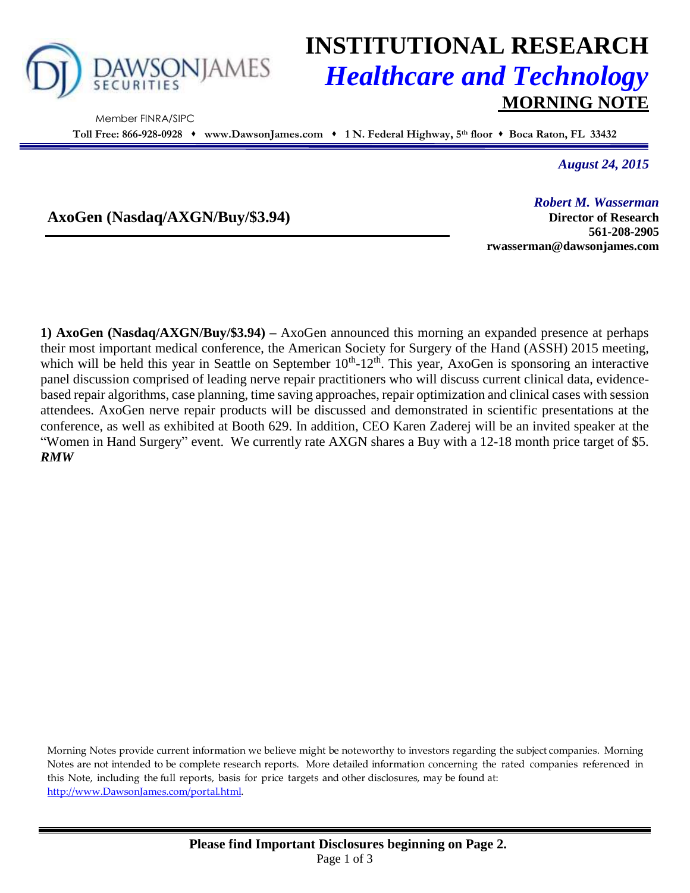

Member FINRA/SIPC

# **INSTITUTIONAL RESEARCH** *Healthcare and Technology* **MORNING NOTE**

**Toll Free: 866-928-0928 www.DawsonJames.com 1 N. Federal Highway, 5 th floor Boca Raton, FL 33432**

*August 24, 2015*

**AxoGen (Nasdaq/AXGN/Buy/\$3.94)**

*Robert M. Wasserman* **Director of Research 561-208-2905 rwasserman@dawsonjames.com**

**1) AxoGen (Nasdaq/AXGN/Buy/\$3.94) –** AxoGen announced this morning an expanded presence at perhaps their most important medical conference, the American Society for Surgery of the Hand (ASSH) 2015 meeting, which will be held this year in Seattle on September  $10^{th}$ - $12^{th}$ . This year, AxoGen is sponsoring an interactive panel discussion comprised of leading nerve repair practitioners who will discuss current clinical data, evidencebased repair algorithms, case planning, time saving approaches, repair optimization and clinical cases with session attendees. AxoGen nerve repair products will be discussed and demonstrated in scientific presentations at the conference, as well as exhibited at Booth 629. In addition, CEO Karen Zaderej will be an invited speaker at the "Women in Hand Surgery" event. We currently rate AXGN shares a Buy with a 12-18 month price target of \$5. *RMW*

Morning Notes provide current information we believe might be noteworthy to investors regarding the subject companies. Morning Notes are not intended to be complete research reports. More detailed information concerning the rated companies referenced in this Note, including the full reports, basis for price targets and other disclosures, may be found at: [http://www.DawsonJames.com/portal.html.](http://www.dawsonjames.com/portal.html)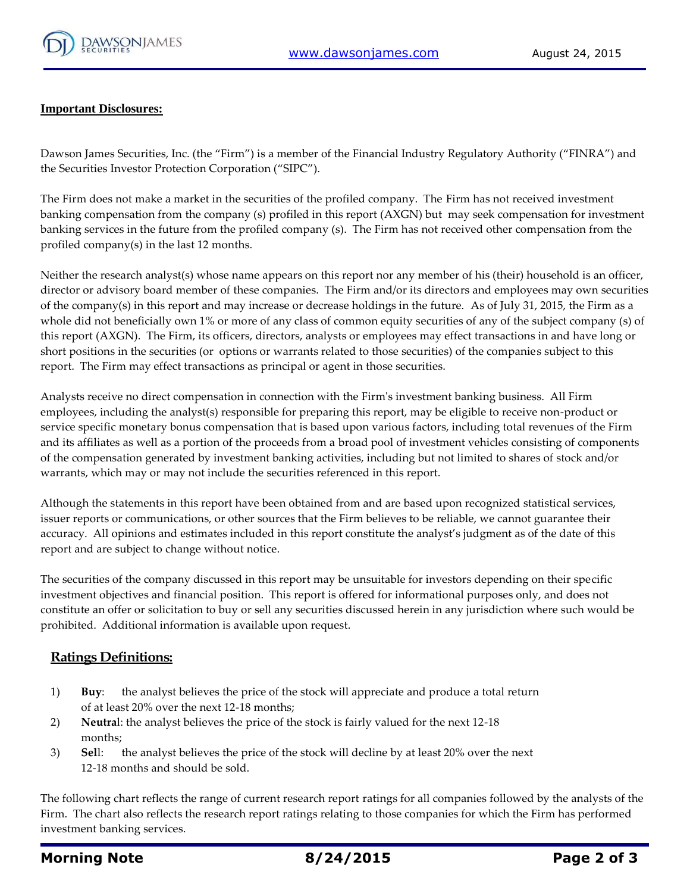

#### **Important Disclosures:**

Dawson James Securities, Inc. (the "Firm") is a member of the Financial Industry Regulatory Authority ("FINRA") and the Securities Investor Protection Corporation ("SIPC").

The Firm does not make a market in the securities of the profiled company. The Firm has not received investment banking compensation from the company (s) profiled in this report (AXGN) but may seek compensation for investment banking services in the future from the profiled company (s). The Firm has not received other compensation from the profiled company(s) in the last 12 months.

Neither the research analyst(s) whose name appears on this report nor any member of his (their) household is an officer, director or advisory board member of these companies. The Firm and/or its directors and employees may own securities of the company(s) in this report and may increase or decrease holdings in the future. As of July 31, 2015, the Firm as a whole did not beneficially own 1% or more of any class of common equity securities of any of the subject company (s) of this report (AXGN). The Firm, its officers, directors, analysts or employees may effect transactions in and have long or short positions in the securities (or options or warrants related to those securities) of the companies subject to this report. The Firm may effect transactions as principal or agent in those securities.

Analysts receive no direct compensation in connection with the Firm's investment banking business. All Firm employees, including the analyst(s) responsible for preparing this report, may be eligible to receive non-product or service specific monetary bonus compensation that is based upon various factors, including total revenues of the Firm and its affiliates as well as a portion of the proceeds from a broad pool of investment vehicles consisting of components of the compensation generated by investment banking activities, including but not limited to shares of stock and/or warrants, which may or may not include the securities referenced in this report.

Although the statements in this report have been obtained from and are based upon recognized statistical services, issuer reports or communications, or other sources that the Firm believes to be reliable, we cannot guarantee their accuracy. All opinions and estimates included in this report constitute the analyst's judgment as of the date of this report and are subject to change without notice.

The securities of the company discussed in this report may be unsuitable for investors depending on their specific investment objectives and financial position. This report is offered for informational purposes only, and does not constitute an offer or solicitation to buy or sell any securities discussed herein in any jurisdiction where such would be prohibited. Additional information is available upon request.

### **Ratings Definitions:**

- 1) **Buy**: the analyst believes the price of the stock will appreciate and produce a total return of at least 20% over the next 12-18 months;
- 2) **Neutra**l: the analyst believes the price of the stock is fairly valued for the next 12-18 months;
- 3) **Sel**l: the analyst believes the price of the stock will decline by at least 20% over the next 12-18 months and should be sold.

The following chart reflects the range of current research report ratings for all companies followed by the analysts of the Firm. The chart also reflects the research report ratings relating to those companies for which the Firm has performed investment banking services.

## **Morning Note 8/24/2015 Page 2 of 3**